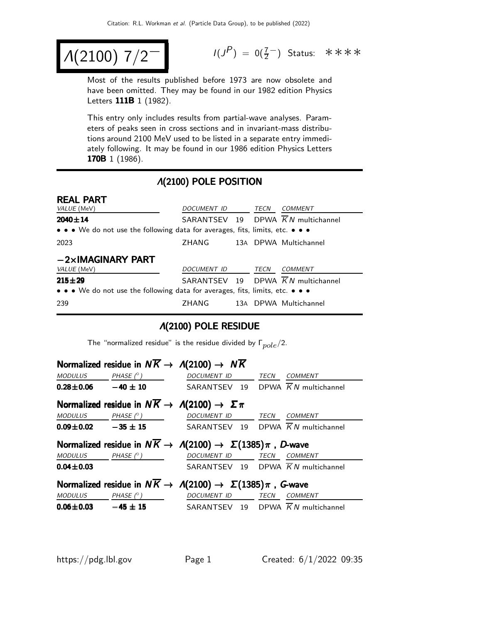$$
A(2100) 7/2^-
$$

 $(P) = 0(\frac{7}{2})$  Status: \*\*\*\*

Most of the results published before 1973 are now obsolete and have been omitted. They may be found in our 1982 edition Physics Letters **111B** 1 (1982).

This entry only includes results from partial-wave analyses. Parameters of peaks seen in cross sections and in invariant-mass distributions around 2100 MeV used to be listed in a separate entry immediately following. It may be found in our 1986 edition Physics Letters 170B 1 (1986).

#### Λ(2100) POLE POSITION

| <b>REAL PART</b>                                                                                                      |                    |      |                                                |
|-----------------------------------------------------------------------------------------------------------------------|--------------------|------|------------------------------------------------|
| VALUE (MeV)                                                                                                           | <i>DOCUMENT ID</i> | TECN | COMMENT                                        |
| $2040 \pm 14$                                                                                                         |                    |      | SARANTSEV 19 DPWA $\overline{K}N$ multichannel |
| $\bullet \bullet \bullet$ We do not use the following data for averages, fits, limits, etc. $\bullet \bullet \bullet$ |                    |      |                                                |
| 2023                                                                                                                  | ZHANG              |      | 13A DPWA Multichannel                          |
| $-2\times$ IMAGINARY PART                                                                                             |                    |      |                                                |
| VALUE (MeV)                                                                                                           | <b>DOCUMENT ID</b> | TECN | COMMENT                                        |
| $215 + 29$                                                                                                            |                    |      | SARANTSEV 19 DPWA $\overline{K}N$ multichannel |
| $\bullet \bullet \bullet$ We do not use the following data for averages, fits, limits, etc. $\bullet \bullet \bullet$ |                    |      |                                                |
| 239                                                                                                                   | ZHANG              |      | 13A DPWA Multichannel                          |

#### Λ(2100) POLE RESIDUE

The "normalized residue" is the residue divided by  $\Gamma_{pole}/2$ .

|                 |                            | Normalized residue in $N\overline{K} \rightarrow A(2100) \rightarrow N\overline{K}$  |             |                |
|-----------------|----------------------------|--------------------------------------------------------------------------------------|-------------|----------------|
|                 | MODULUS PHASE $(^\circ)$   | DOCUMENT ID                                                                          |             | TECN COMMENT   |
|                 |                            | <b>0.28±0.06</b> $-40 \pm 10$ SARANTSEV 19 DPWA $\overline{K}N$ multichannel         |             |                |
|                 |                            | Normalized residue in $N\overline{K} \to \Lambda(2100) \to \Sigma \pi$               |             |                |
|                 | MODULUS PHASE $(^{\circ})$ | <b>DOCUMENT ID</b>                                                                   | <b>TECN</b> | COMMENT        |
|                 |                            | <b>0.09±0.02</b> $-35 \pm 15$ SARANTSEV 19 DPWA $\overline{K}N$ multichannel         |             |                |
|                 |                            | Normalized residue in $N\overline{K} \to \Lambda(2100) \to \Sigma(1385)\pi$ , D-wave |             |                |
|                 | $MODULUS$ $PHASE (°)$      | DOCUMENT ID TECN                                                                     |             | <i>COMMENT</i> |
| $0.04 \pm 0.03$ |                            | SARANTSEV 19 DPWA $\overline{K}N$ multichannel                                       |             |                |
|                 |                            | Normalized residue in $N\overline{K} \to \Lambda(2100) \to \Sigma(1385)\pi$ , G-wave |             |                |
|                 | MODULUS PHASE $(^\circ)$   | DOCUMENT ID TECN                                                                     |             | <b>COMMENT</b> |
| $0.06 \pm 0.03$ |                            | $-45 \pm 15$ SARANTSEV 19 DPWA KN multichannel                                       |             |                |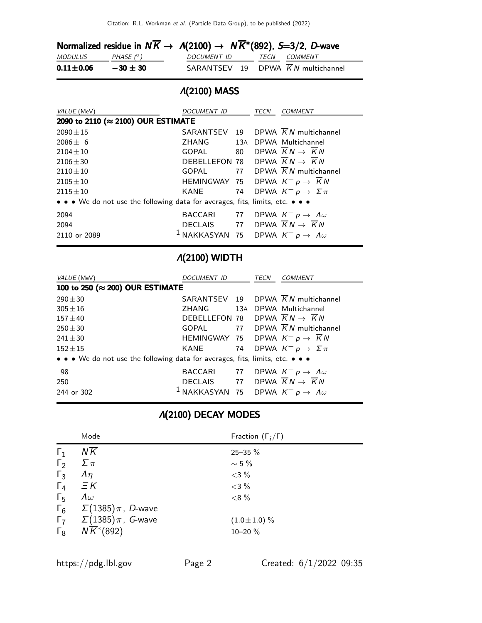|                 |                  | Normalized residue in $N\overline{K} \to \Lambda(2100) \to N\overline{K}^*(892)$ , S=3/2, D-wave |                     |
|-----------------|------------------|--------------------------------------------------------------------------------------------------|---------------------|
| <i>MODULUS</i>  | PHASE $(^\circ)$ | DOCUMENT ID                                                                                      | <i>TECN COMMENT</i> |
| $0.11 \pm 0.06$ | $-30 \pm 30$     | SARANTSEV 19 DPWA $\overline{K}N$ multichannel                                                   |                     |

# Λ(2100) MASS

| VALUE (MeV)                                                                   | DOCUMENT ID                                                  |    | TECN | COMMENT                                        |
|-------------------------------------------------------------------------------|--------------------------------------------------------------|----|------|------------------------------------------------|
| 2090 to 2110 (≈ 2100) OUR ESTIMATE                                            |                                                              |    |      |                                                |
| $2090 \pm 15$                                                                 | SARANTSEV 19                                                 |    |      | DPWA $\overline{K}N$ multichannel              |
| $2086 + 6$                                                                    | ZHANG                                                        |    |      | 13A DPWA Multichannel                          |
| $2104 + 10$                                                                   | GOPAL 80                                                     |    |      | DPWA $\overline{K}N \rightarrow \overline{K}N$ |
| $2106 + 30$                                                                   | DEBELLEFON 78 DPWA $\overline{K}N \rightarrow \overline{K}N$ |    |      |                                                |
| $2110 \pm 10$                                                                 | <b>GOPAL</b>                                                 |    |      | 77 DPWA $\overline{K}N$ multichannel           |
| $2105 + 10$                                                                   | HEMINGWAY 75 DPWA $K^- p \rightarrow \overline{K} N$         |    |      |                                                |
| $2115 \pm 10$                                                                 | KANE 74                                                      |    |      | DPWA $K^- p \to \Sigma \pi$                    |
| • • • We do not use the following data for averages, fits, limits, etc. • • • |                                                              |    |      |                                                |
| 2094                                                                          | <b>BACCARI</b>                                               | 77 |      | DPWA $K^- p \to \Lambda \omega$                |
| 2094                                                                          | DECLAIS 77 DPWA $\overline{K}N \rightarrow \overline{K}N$    |    |      |                                                |
| 2110 or 2089                                                                  | <sup>1</sup> NAKKASYAN 75 DPWA $K^ p \to A\omega$            |    |      |                                                |

# Λ(2100) WIDTH

| VALUE (MeV)                                                                   | DOCUMENT ID                                                  | TECN | <i>COMMENT</i>                                 |
|-------------------------------------------------------------------------------|--------------------------------------------------------------|------|------------------------------------------------|
| 100 to 250 (≈ 200) OUR ESTIMATE                                               |                                                              |      |                                                |
| $290 \pm 30$                                                                  |                                                              |      | SARANTSEV 19 DPWA $\overline{K}N$ multichannel |
| $305 + 16$                                                                    | ZHANG 13A DPWA Multichannel                                  |      |                                                |
| $157 + 40$                                                                    | DEBELLEFON 78 DPWA $\overline{K}N \rightarrow \overline{K}N$ |      |                                                |
| $250 + 30$                                                                    |                                                              |      | GOPAL 77 DPWA $\overline{K}N$ multichannel     |
| $241 + 30$                                                                    | HEMINGWAY 75 DPWA $K^- p \rightarrow \overline{K} N$         |      |                                                |
| $152 + 15$                                                                    | KANE                                                         |      | 74 DPWA $K^- p \rightarrow \Sigma \pi$         |
| • • • We do not use the following data for averages, fits, limits, etc. • • • |                                                              |      |                                                |
| 98                                                                            | BACCARI                                                      |      | 77 DPWA $K^ p \rightarrow A\omega$             |
| 250                                                                           | DECLAIS 77 DPWA $\overline{K}N \rightarrow \overline{K}N$    |      |                                                |
| 244 or 302                                                                    | <sup>1</sup> NAKKASYAN 75 DPWA $K^- p \to \Lambda \omega$    |      |                                                |

# Λ(2100) DECAY MODES

|              | Mode                                                         | Fraction $(\Gamma_i/\Gamma)$ |
|--------------|--------------------------------------------------------------|------------------------------|
| $\Gamma_1$   | $N\overline{K}$                                              | $25 - 35 \%$                 |
| $\Gamma_2$   | $\Sigma \pi$                                                 | $\sim$ 5 %                   |
| $\Gamma_3$   | $\Lambda$ η                                                  | $<$ 3 %                      |
| $\Gamma_4$   | $\equiv$ K                                                   | $<$ 3 %                      |
| $\Gamma_{5}$ | $\Lambda \omega$                                             | <8%                          |
|              | $\Gamma_6$ $\Sigma(1385)\pi$ , <i>D</i> -wave                |                              |
|              | $\Gamma$ <sub>7</sub> $\Sigma$ (1385) $\pi$ , <i>G</i> -wave | $(1.0 \pm 1.0)$ %            |
|              | $\Gamma_8$ $N\overline{K}^*(892)$                            | 10-20 %                      |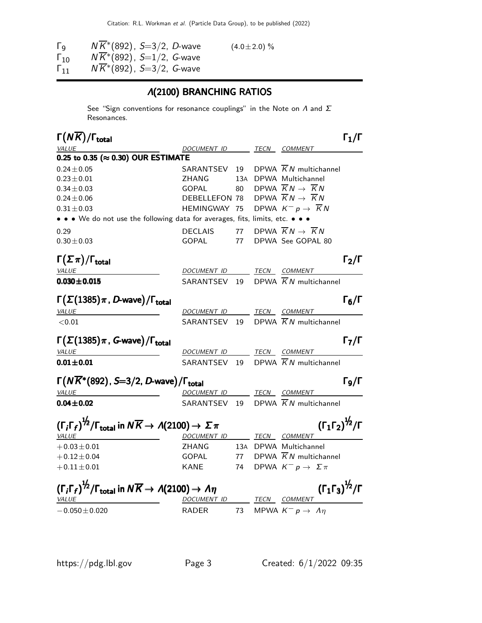Citation: R.L. Workman et al. (Particle Data Group), to be published (2022)

| Γq                | $N\overline{K}$ *(892), S=3/2, D-wave | $(4.0 \pm 2.0)$ % |
|-------------------|---------------------------------------|-------------------|
| $\Gamma_{10}$     | $NK^*(892)$ , $S=1/2$ , G-wave        |                   |
| $\mathsf{F}_{11}$ | $NK*(892)$ , $S=3/2$ , G-wave         |                   |

# Λ(2100) BRANCHING RATIOS

See "Sign conventions for resonance couplings" in the Note on  $\Lambda$  and  $\Sigma$ Resonances.

| $\Gamma(NK)/\Gamma_{\rm total}$                                                                                            |                    |     |      | $\Gamma_1/\Gamma$                              |                   |
|----------------------------------------------------------------------------------------------------------------------------|--------------------|-----|------|------------------------------------------------|-------------------|
| VALUE                                                                                                                      | DOCUMENT ID        |     | TECN | <i>COMMENT</i>                                 |                   |
| 0.25 to 0.35 (≈ 0.30) OUR ESTIMATE                                                                                         |                    |     |      |                                                |                   |
| $0.24 \pm 0.05$                                                                                                            | SARANTSEV 19       |     |      | DPWA $\overline{K}N$ multichannel              |                   |
| $0.23 \pm 0.01$                                                                                                            | ZHANG              | 13A |      | DPWA Multichannel                              |                   |
| $0.34 \pm 0.03$                                                                                                            | <b>GOPAL</b>       | 80  |      | DPWA $\overline{K}N \rightarrow \overline{K}N$ |                   |
| $0.24 \pm 0.06$                                                                                                            | DEBELLEFON 78      |     |      | DPWA $\overline{K}N \rightarrow \overline{K}N$ |                   |
| $0.31 \pm 0.03$                                                                                                            | HEMINGWAY 75       |     |      | DPWA $K^- p \rightarrow \overline{K} N$        |                   |
| • • • We do not use the following data for averages, fits, limits, etc. • • •                                              |                    |     |      |                                                |                   |
| 0.29                                                                                                                       | <b>DECLAIS</b>     | 77  |      | DPWA $\overline{K}N \rightarrow \overline{K}N$ |                   |
| $0.30 \pm 0.03$                                                                                                            | <b>GOPAL</b>       | 77  |      | DPWA See GOPAL 80                              |                   |
| $\Gamma(\Sigma \pi)/\Gamma_{\rm total}$                                                                                    |                    |     |      | $\Gamma_2/\Gamma$                              |                   |
| <b>VALUE</b>                                                                                                               | DOCUMENT ID        |     |      | TECN COMMENT                                   |                   |
| $0.030 \pm 0.015$                                                                                                          | SARANTSEV 19       |     |      | DPWA $\overline{K}N$ multichannel              |                   |
|                                                                                                                            |                    |     |      |                                                |                   |
| $\Gamma(\Sigma(1385)\pi, D$ -wave)/ $\Gamma_{\text{total}}$                                                                |                    |     |      | $\Gamma_6/\Gamma$                              |                   |
| <b>VALUE</b>                                                                                                               | DOCUMENT ID        |     |      | TECN COMMENT                                   |                   |
| < 0.01                                                                                                                     | SARANTSEV 19       |     |      | DPWA $\overline{K}N$ multichannel              |                   |
| $\Gamma(\Sigma(1385)\pi$ , G-wave)/ $\Gamma_{\text{total}}$                                                                |                    |     |      |                                                | $\Gamma_7/\Gamma$ |
| VALUE                                                                                                                      | DOCUMENT ID        |     |      | TECN COMMENT                                   |                   |
| $0.01 \pm 0.01$                                                                                                            |                    |     |      | SARANTSEV 19 DPWA $\overline{K}N$ multichannel |                   |
| $\Gamma(N\overline{K}^*(892), S=3/2, D$ -wave)/ $\Gamma_{\text{total}}$                                                    |                    |     |      | $\Gamma$ <sub>9</sub> /Γ                       |                   |
| <b>VALUE</b>                                                                                                               | <b>DOCUMENT ID</b> |     |      | TECN COMMENT                                   |                   |
| $0.04 \pm 0.02$                                                                                                            | SARANTSEV          | 19  |      | DPWA $\overline{K}N$ multichannel              |                   |
| $(\Gamma_i \Gamma_f)^{\frac{1}{2}} / \Gamma_{\text{total}}$ in $N \overline{K} \rightarrow A(2100) \rightarrow \Sigma \pi$ |                    |     |      | $(\Gamma_1 \Gamma_2)^{\frac{1}{2}} / \Gamma$   |                   |
|                                                                                                                            |                    |     |      |                                                |                   |
| <b>VALUE</b>                                                                                                               | DOCUMENT ID        |     |      | TECN COMMENT                                   |                   |
| $+0.03 \pm 0.01$                                                                                                           | ZHANG              |     |      | 13A DPWA Multichannel                          |                   |
| $+0.12 \pm 0.04$                                                                                                           | <b>GOPAL</b>       | 77  |      | DPWA $\overline{K}N$ multichannel              |                   |
| $+0.11 \pm 0.01$                                                                                                           | <b>KANE</b>        | 74  |      | DPWA $K^- p \rightarrow \Sigma \pi$            |                   |
| $(\Gamma_i \Gamma_f)^{\frac{1}{2}} / \Gamma_{\text{total}}$ in $N \overline{K} \rightarrow A(2100) \rightarrow A \eta$     |                    |     |      | $(\Gamma_1 \Gamma_3)^{\frac{1}{2}} / \Gamma$   |                   |
| <i>VALUE</i>                                                                                                               | DOCUMENT ID        |     |      | TECN COMMENT                                   |                   |
| $-0.050 \pm 0.020$                                                                                                         | RADER              | 73  |      | MPWA $K^- p \rightarrow \Lambda \eta$          |                   |
|                                                                                                                            |                    |     |      |                                                |                   |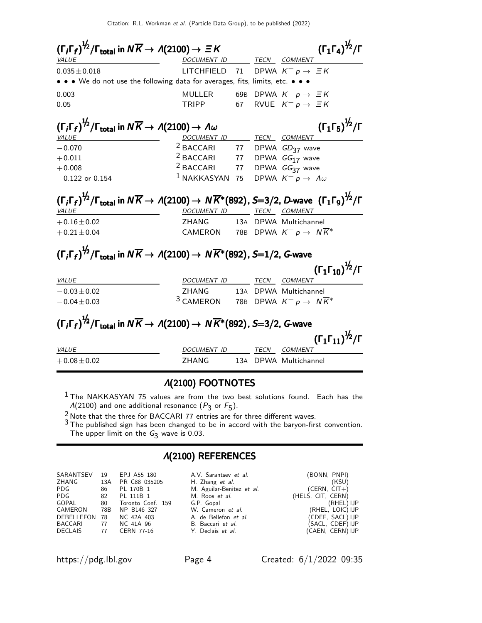| $(\Gamma_i \Gamma_f)^{\frac{1}{2}} / \Gamma_{\text{total}}$ in $N \overline{K} \rightarrow A(2100) \rightarrow \Xi K$                                                 |                                              |  | $(\Gamma_1 \Gamma_4)^{\frac{1}{2}} / \Gamma$                      |
|-----------------------------------------------------------------------------------------------------------------------------------------------------------------------|----------------------------------------------|--|-------------------------------------------------------------------|
| <b>VALUE</b><br>$0.035 \pm 0.018$                                                                                                                                     | DOCUMENT ID TECN COMMENT                     |  | LITCHFIELD 71 DPWA $K^- p \rightarrow \equiv K$                   |
| • • • We do not use the following data for averages, fits, limits, etc. • • •                                                                                         |                                              |  |                                                                   |
| 0.003                                                                                                                                                                 | MULLER                                       |  | 69B DPWA $K^-p \rightarrow \equiv K$                              |
| 0.05                                                                                                                                                                  | <b>TRIPP</b>                                 |  | 67 RVUE $K^- p \rightarrow \equiv K$                              |
| $(\Gamma_i \Gamma_f)^{\frac{1}{2}} / \Gamma_{\text{total}}$ in $N \overline{K} \rightarrow A(2100) \rightarrow A \omega$<br>VALUE                                     | DOCUMENT ID TECN COMMENT                     |  | $(\Gamma_1 \Gamma_5)^{\frac{1}{2}} / \Gamma$                      |
| $-0.070$                                                                                                                                                              | $2$ BACCARI 77 DPWA $GD_{37}$ wave           |  |                                                                   |
| $+0.011$                                                                                                                                                              | $\frac{2}{3}$ BACCARI 77 DPWA $GG_{17}$ wave |  |                                                                   |
| $+0.008$                                                                                                                                                              | <sup>2</sup> BACCARI                         |  | 77 DPWA GG <sub>37</sub> wave                                     |
| 0.122 or 0.154                                                                                                                                                        | $1$ NAKKASYAN                                |  | 75 DPWA $K^- p \rightarrow \Lambda \omega$                        |
| $(\Gamma_i \Gamma_f)^{1/2}/\Gamma_{total}$ in $N\overline{K} \to A(2100) \to N\overline{K}^*(892)$ , S=3/2, D-wave $(\Gamma_1 \Gamma_9)^{1/2}/\Gamma$<br><i>VALUE</i> | DOCUMENT ID TECN COMMENT                     |  |                                                                   |
| $+0.16 \pm 0.02$                                                                                                                                                      | ZHANG                                        |  | 13A DPWA Multichannel                                             |
| $+0.21 \pm 0.04$                                                                                                                                                      |                                              |  | CAMERON 78B DPWA $K^- p \rightarrow N \overline{K^*}$             |
| $(\Gamma_i \Gamma_f)^{1/2}/\Gamma_{total}$ in $N\overline{K} \rightarrow A(2100) \rightarrow N\overline{K}^*(892)$ , S=1/2, G-wave<br>VALUE                           | DOCUMENT ID                                  |  | $(\Gamma_1 \Gamma_{10})^{\frac{1}{2}}$ / $\Gamma$<br>TECN COMMENT |
| $-0.03 \pm 0.02$                                                                                                                                                      | ZHANG                                        |  | 13A DPWA Multichannel                                             |
| $-0.04 \pm 0.03$                                                                                                                                                      | <sup>3</sup> CAMERON                         |  | 78B DPWA $K^- p \rightarrow N \overline{K}^*$                     |

# $(\Gamma_i\Gamma_f)^{\frac{1}{2}}/\Gamma_{\text{total}}$  in  $N\overline{K} \to \Lambda(2100) \to N\overline{K}$ \*(892), S $=$ 3/2, G-wave

|                      |             |      | $(\Gamma_1 \Gamma_{11})^{1/2}/\Gamma$ |
|----------------------|-------------|------|---------------------------------------|
| <i>VALUE</i>         | DOCUMENT ID | TECN | COMMENT                               |
| $+0.08 \!\pm\! 0.02$ | 7HANG.      |      | 13A DPWA Multichannel                 |

#### Λ(2100) FOOTNOTES

 $1$  The NAKKASYAN 75 values are from the two best solutions found. Each has the  $\Lambda(2100)$  and one additional resonance  $(P_3$  or  $F_5)$ .

 $\frac{2}{9}$  Note that the three for BACCARI 77 entries are for three different waves.

 $3$  The published sign has been changed to be in accord with the baryon-first convention. The upper limit on the  $G_3$  wave is 0.03.

#### Λ(2100) REFERENCES

| 19  |               | A.V. Sarantsey et al.                                                                      | (BONN, PNPI)      |
|-----|---------------|--------------------------------------------------------------------------------------------|-------------------|
| 13A | PR C88 035205 | H. Zhang et al.                                                                            | (KSU)             |
| 86  | PL 170B 1     | M. Aguilar-Benitez et al.                                                                  | $(CERN, CIT+)$    |
|     |               | M. Roos <i>et al.</i>                                                                      | (HELS, CIT, CERN) |
| 80  |               | G.P. Gopal                                                                                 | (RHEL) IJP        |
| 78B |               | W. Cameron et al.                                                                          | (RHEL, LOIC) IJP  |
| 78  |               | A. de Bellefon et al.                                                                      | (CDEF, SACL) IJP  |
| 77  |               | B. Baccari et al.                                                                          | (SACL, CDEF) IJP  |
| 77  | CERN 77-16    | Y. Declais et al.                                                                          | (CAEN, CERN) IJP  |
|     |               | EPJ A55 180<br>82 PL 111B 1<br>Toronto Conf. 159<br>NP B146 327<br>NC 42A 403<br>NC 41A 96 |                   |